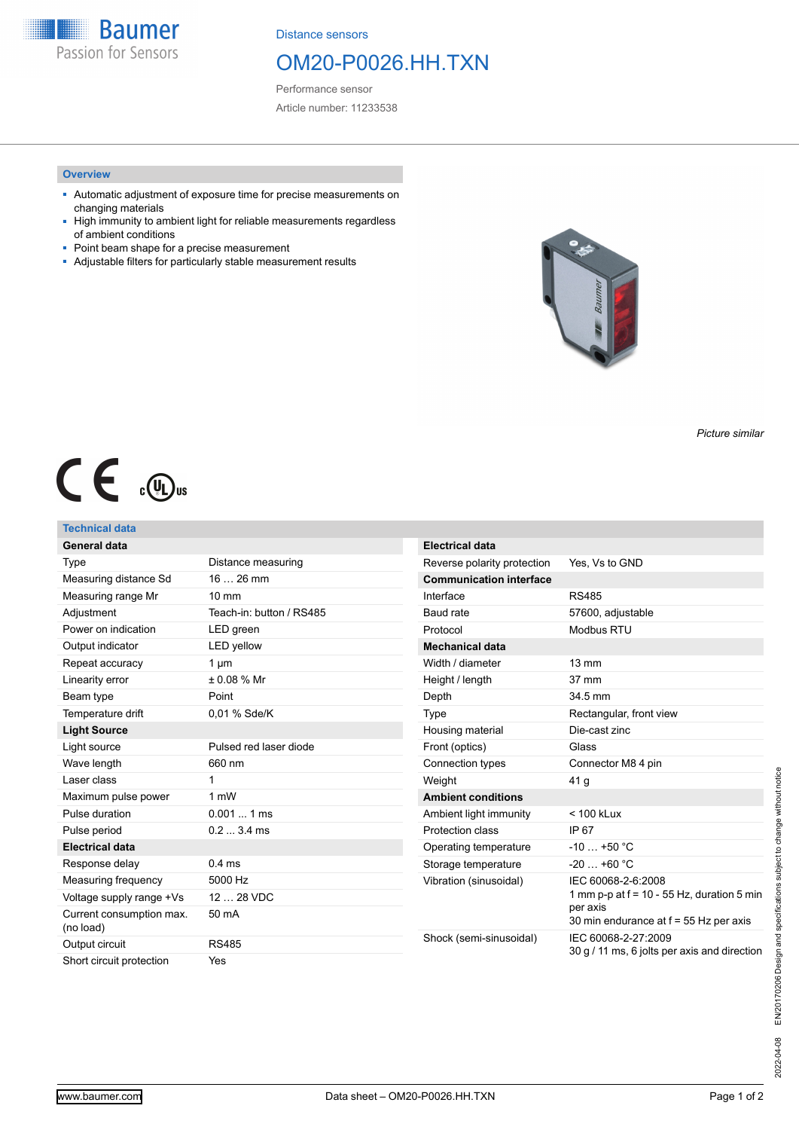**Baumer** Passion for Sensors

Distance sensors

# OM20-P0026.HH.TXN

Performance sensor Article number: 11233538

### **Overview**

- Automatic adjustment of exposure time for precise measurements on changing materials
- High immunity to ambient light for reliable measurements regardless of ambient conditions
- Point beam shape for a precise measurement
- Adjustable filters for particularly stable measurement results



*Picture similar*

# $C \in \mathcal{L}$

## **Technical data**

| General data                          |                          | <b>Electrical data</b>         |                                                                                                                          |
|---------------------------------------|--------------------------|--------------------------------|--------------------------------------------------------------------------------------------------------------------------|
| Type                                  | Distance measuring       | Reverse polarity protection    | Yes, Vs to GND                                                                                                           |
| Measuring distance Sd                 | $1626$ mm                | <b>Communication interface</b> |                                                                                                                          |
| Measuring range Mr                    | $10 \text{ mm}$          | Interface                      | <b>RS485</b>                                                                                                             |
| Adjustment                            | Teach-in: button / RS485 | Baud rate                      | 57600, adjustable                                                                                                        |
| Power on indication                   | LED green                | Protocol                       | <b>Modbus RTU</b>                                                                                                        |
| Output indicator                      | <b>LED</b> yellow        | <b>Mechanical data</b>         |                                                                                                                          |
| Repeat accuracy                       | $1 \mu m$                | Width / diameter               | $13 \text{ mm}$                                                                                                          |
| Linearity error                       | ± 0.08 % Mr              | Height / length                | 37 mm                                                                                                                    |
| Beam type                             | Point                    | Depth                          | 34.5 mm                                                                                                                  |
| Temperature drift                     | 0.01 % Sde/K             | Type                           | Rectangular, front view                                                                                                  |
| <b>Light Source</b>                   |                          | Housing material               | Die-cast zinc                                                                                                            |
| Light source                          | Pulsed red laser diode   | Front (optics)                 | Glass                                                                                                                    |
| Wave length                           | 660 nm                   | Connection types               | Connector M8 4 pin                                                                                                       |
| Laser class                           | 1                        | Weight                         | 41 g                                                                                                                     |
| Maximum pulse power                   | 1 mW                     | <b>Ambient conditions</b>      |                                                                                                                          |
| Pulse duration                        | $0.0011$ ms              | Ambient light immunity         | $< 100$ kLux                                                                                                             |
| Pulse period                          | $0.23.4$ ms              | Protection class               | IP 67                                                                                                                    |
| <b>Electrical data</b>                |                          | Operating temperature          | $-10+50$ °C                                                                                                              |
| Response delay                        | 0.4 <sub>ms</sub>        | Storage temperature            | $-20+60$ °C                                                                                                              |
| Measuring frequency                   | 5000 Hz                  | Vibration (sinusoidal)         | IEC 60068-2-6:2008<br>1 mm p-p at $f = 10 - 55$ Hz, duration 5 min<br>per axis<br>30 min endurance at f = 55 Hz per axis |
| Voltage supply range +Vs              | 12  28 VDC               |                                |                                                                                                                          |
| Current consumption max.<br>(no load) | 50 mA                    |                                |                                                                                                                          |
| Output circuit                        | <b>RS485</b>             | Shock (semi-sinusoidal)        | IEC 60068-2-27:2009<br>30 g / 11 ms, 6 jolts per axis and direction                                                      |
| Short circuit protection              | Yes                      |                                |                                                                                                                          |